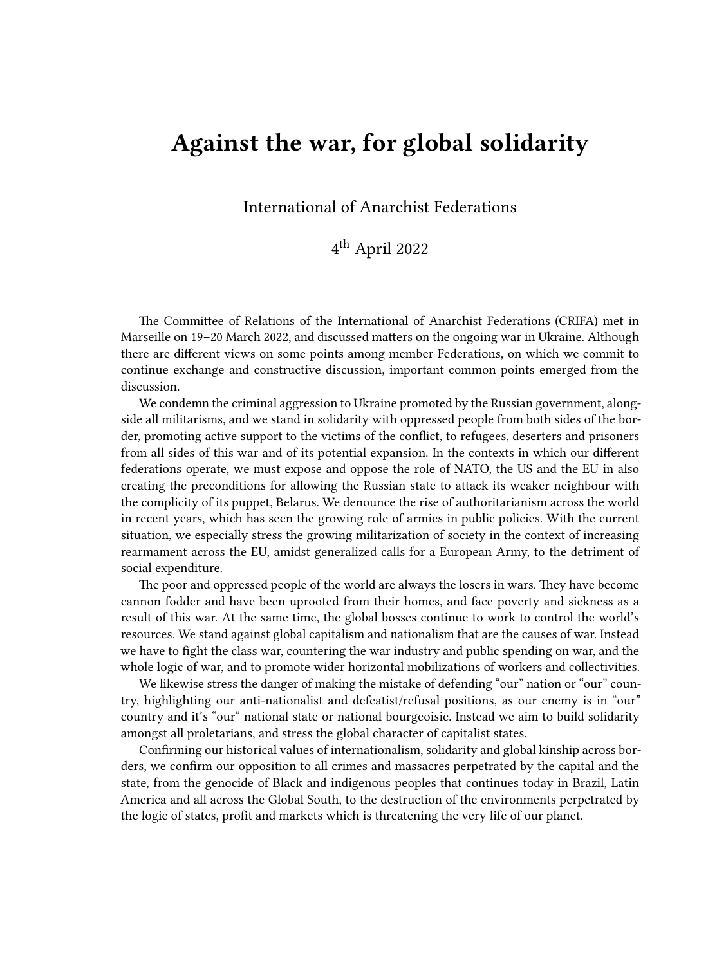## **Against the war, for global solidarity**

International of Anarchist Federations

## 4 th April 2022

The Committee of Relations of the International of Anarchist Federations (CRIFA) met in Marseille on 19–20 March 2022, and discussed matters on the ongoing war in Ukraine. Although there are different views on some points among member Federations, on which we commit to continue exchange and constructive discussion, important common points emerged from the discussion.

We condemn the criminal aggression to Ukraine promoted by the Russian government, alongside all militarisms, and we stand in solidarity with oppressed people from both sides of the border, promoting active support to the victims of the conflict, to refugees, deserters and prisoners from all sides of this war and of its potential expansion. In the contexts in which our different federations operate, we must expose and oppose the role of NATO, the US and the EU in also creating the preconditions for allowing the Russian state to attack its weaker neighbour with the complicity of its puppet, Belarus. We denounce the rise of authoritarianism across the world in recent years, which has seen the growing role of armies in public policies. With the current situation, we especially stress the growing militarization of society in the context of increasing rearmament across the EU, amidst generalized calls for a European Army, to the detriment of social expenditure.

The poor and oppressed people of the world are always the losers in wars. They have become cannon fodder and have been uprooted from their homes, and face poverty and sickness as a result of this war. At the same time, the global bosses continue to work to control the world's resources. We stand against global capitalism and nationalism that are the causes of war. Instead we have to fight the class war, countering the war industry and public spending on war, and the whole logic of war, and to promote wider horizontal mobilizations of workers and collectivities.

We likewise stress the danger of making the mistake of defending "our" nation or "our" country, highlighting our anti-nationalist and defeatist/refusal positions, as our enemy is in "our" country and it's "our" national state or national bourgeoisie. Instead we aim to build solidarity amongst all proletarians, and stress the global character of capitalist states.

Confirming our historical values of internationalism, solidarity and global kinship across borders, we confirm our opposition to all crimes and massacres perpetrated by the capital and the state, from the genocide of Black and indigenous peoples that continues today in Brazil, Latin America and all across the Global South, to the destruction of the environments perpetrated by the logic of states, profit and markets which is threatening the very life of our planet.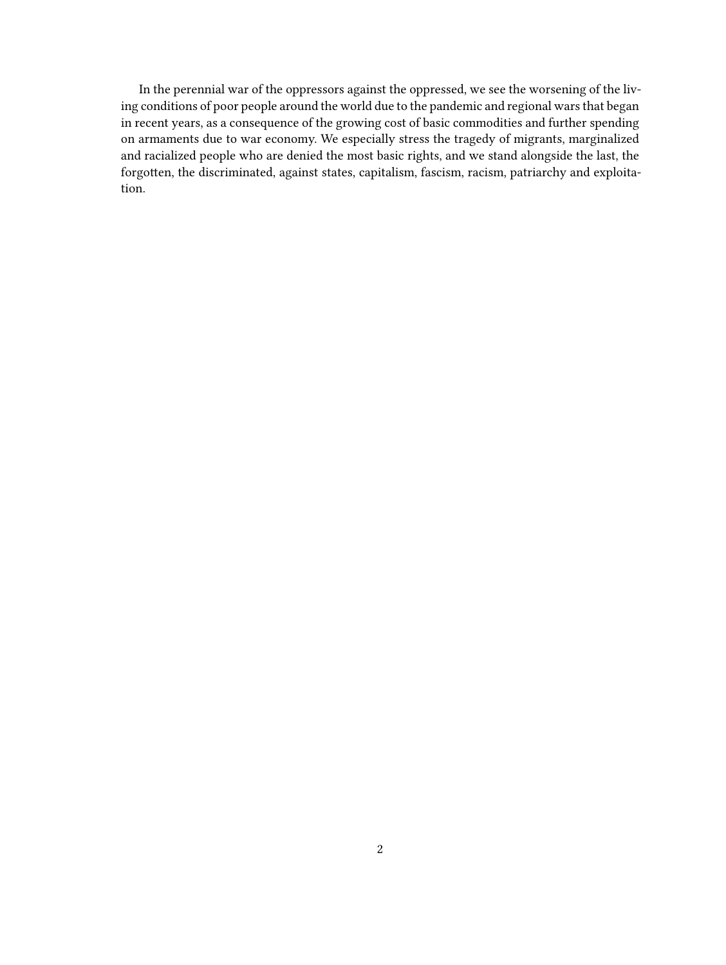In the perennial war of the oppressors against the oppressed, we see the worsening of the living conditions of poor people around the world due to the pandemic and regional wars that began in recent years, as a consequence of the growing cost of basic commodities and further spending on armaments due to war economy. We especially stress the tragedy of migrants, marginalized and racialized people who are denied the most basic rights, and we stand alongside the last, the forgotten, the discriminated, against states, capitalism, fascism, racism, patriarchy and exploitation.